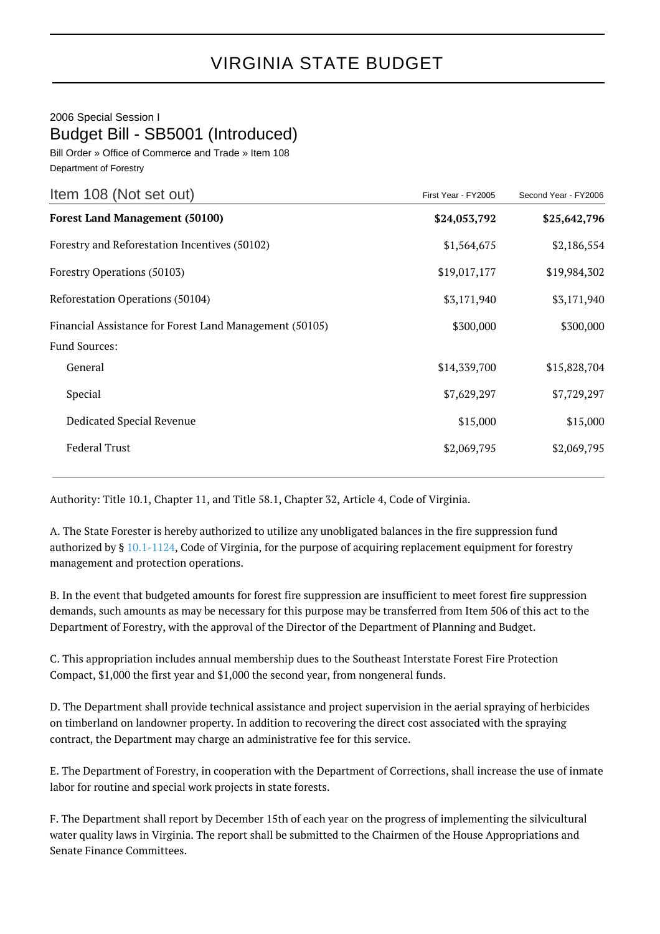## VIRGINIA STATE BUDGET

2006 Special Session I Budget Bill - SB5001 (Introduced)

Bill Order » Office of Commerce and Trade » Item 108 Department of Forestry

| Item 108 (Not set out)                                  | First Year - FY2005 | Second Year - FY2006 |
|---------------------------------------------------------|---------------------|----------------------|
| <b>Forest Land Management (50100)</b>                   | \$24,053,792        | \$25,642,796         |
| Forestry and Reforestation Incentives (50102)           | \$1,564,675         | \$2,186,554          |
| Forestry Operations (50103)                             | \$19,017,177        | \$19,984,302         |
| Reforestation Operations (50104)                        | \$3,171,940         | \$3,171,940          |
| Financial Assistance for Forest Land Management (50105) | \$300,000           | \$300,000            |
| <b>Fund Sources:</b>                                    |                     |                      |
| General                                                 | \$14,339,700        | \$15,828,704         |
| Special                                                 | \$7,629,297         | \$7,729,297          |
| Dedicated Special Revenue                               | \$15,000            | \$15,000             |
| <b>Federal Trust</b>                                    | \$2,069,795         | \$2,069,795          |
|                                                         |                     |                      |

Authority: Title 10.1, Chapter 11, and Title 58.1, Chapter 32, Article 4, Code of Virginia.

A. The State Forester is hereby authorized to utilize any unobligated balances in the fire suppression fund authorized by § [10.1-1124,](http://law.lis.virginia.gov/vacode/10.1-1124/) Code of Virginia, for the purpose of acquiring replacement equipment for forestry management and protection operations.

B. In the event that budgeted amounts for forest fire suppression are insufficient to meet forest fire suppression demands, such amounts as may be necessary for this purpose may be transferred from Item 506 of this act to the Department of Forestry, with the approval of the Director of the Department of Planning and Budget.

C. This appropriation includes annual membership dues to the Southeast Interstate Forest Fire Protection Compact, \$1,000 the first year and \$1,000 the second year, from nongeneral funds.

D. The Department shall provide technical assistance and project supervision in the aerial spraying of herbicides on timberland on landowner property. In addition to recovering the direct cost associated with the spraying contract, the Department may charge an administrative fee for this service.

E. The Department of Forestry, in cooperation with the Department of Corrections, shall increase the use of inmate labor for routine and special work projects in state forests.

F. The Department shall report by December 15th of each year on the progress of implementing the silvicultural water quality laws in Virginia. The report shall be submitted to the Chairmen of the House Appropriations and Senate Finance Committees.